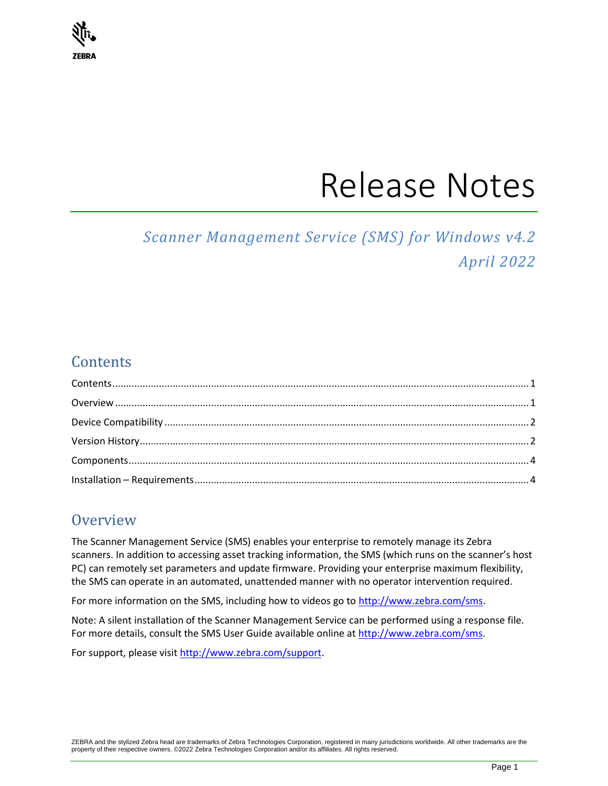

# Release Notes

## *Scanner Management Service (SMS) for Windows v4.2 April 2022*

## <span id="page-0-0"></span>**Contents**

## <span id="page-0-1"></span>**Overview**

The Scanner Management Service (SMS) enables your enterprise to remotely manage its Zebra scanners. In addition to accessing asset tracking information, the SMS (which runs on the scanner's host PC) can remotely set parameters and update firmware. Providing your enterprise maximum flexibility, the SMS can operate in an automated, unattended manner with no operator intervention required.

For more information on the SMS, including how to videos go to [http://www.zebra.com/sms.](http://www.zebra.com/sms)

Note: A silent installation of the Scanner Management Service can be performed using a response file. For more details, consult the SMS User Guide available online at [http://www.zebra.com/sms.](http://www.zebra.com/sms)

For support, please visit [http://www.zebra.com/support.](http://www.zebra.com/support)

ZEBRA and the stylized Zebra head are trademarks of Zebra Technologies Corporation, registered in many jurisdictions worldwide. All other trademarks are the property of their respective owners. ©2022 Zebra Technologies Corporation and/or its affiliates. All rights reserved.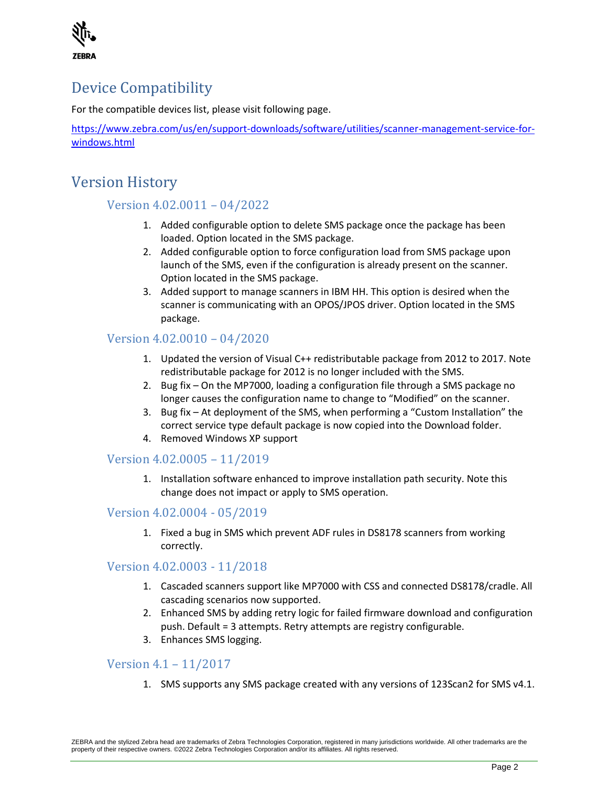

## <span id="page-1-0"></span>Device Compatibility

For the compatible devices list, please visit following page.

[https://www.zebra.com/us/en/support-downloads/software/utilities/scanner-management-service-for](https://www.zebra.com/us/en/support-downloads/software/utilities/scanner-management-service-for-windows.html)[windows.html](https://www.zebra.com/us/en/support-downloads/software/utilities/scanner-management-service-for-windows.html)

## <span id="page-1-1"></span>Version History

#### Version 4.02.0011 – 04/2022

- 1. Added configurable option to delete SMS package once the package has been loaded. Option located in the SMS package.
- 2. Added configurable option to force configuration load from SMS package upon launch of the SMS, even if the configuration is already present on the scanner. Option located in the SMS package.
- 3. Added support to manage scanners in IBM HH. This option is desired when the scanner is communicating with an OPOS/JPOS driver. Option located in the SMS package.

#### Version 4.02.0010 – 04/2020

- 1. Updated the version of Visual C++ redistributable package from 2012 to 2017. Note redistributable package for 2012 is no longer included with the SMS.
- 2. Bug fix On the MP7000, loading a configuration file through a SMS package no longer causes the configuration name to change to "Modified" on the scanner.
- 3. Bug fix At deployment of the SMS, when performing a "Custom Installation" the correct service type default package is now copied into the Download folder.
- 4. Removed Windows XP support

#### Version 4.02.0005 – 11/2019

1. Installation software enhanced to improve installation path security. Note this change does not impact or apply to SMS operation.

#### Version 4.02.0004 - 05/2019

1. Fixed a bug in SMS which prevent ADF rules in DS8178 scanners from working correctly.

#### Version 4.02.0003 - 11/2018

- 1. Cascaded scanners support like MP7000 with CSS and connected DS8178/cradle. All cascading scenarios now supported.
- 2. Enhanced SMS by adding retry logic for failed firmware download and configuration push. Default = 3 attempts. Retry attempts are registry configurable.
- 3. Enhances SMS logging.

#### Version 4.1 – 11/2017

1. SMS supports any SMS package created with any versions of 123Scan2 for SMS v4.1.

ZEBRA and the stylized Zebra head are trademarks of Zebra Technologies Corporation, registered in many jurisdictions worldwide. All other trademarks are the property of their respective owners. ©2022 Zebra Technologies Corporation and/or its affiliates. All rights reserved.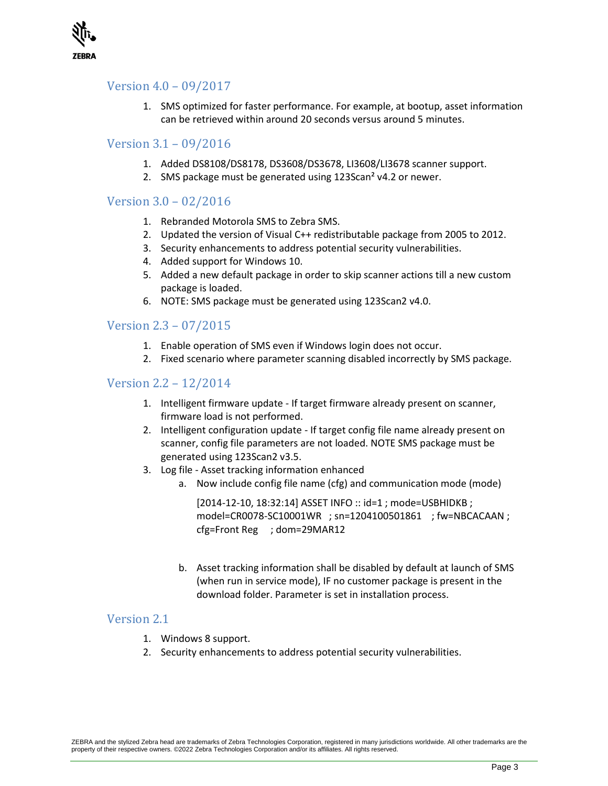

#### Version 4.0 – 09/2017

1. SMS optimized for faster performance. For example, at bootup, asset information can be retrieved within around 20 seconds versus around 5 minutes.

#### Version 3.1 – 09/2016

- 1. Added DS8108/DS8178, DS3608/DS3678, LI3608/LI3678 scanner support.
- 2. SMS package must be generated using 123Scan<sup>2</sup> v4.2 or newer.

#### Version 3.0 – 02/2016

- 1. Rebranded Motorola SMS to Zebra SMS.
- 2. Updated the version of Visual C++ redistributable package from 2005 to 2012.
- 3. Security enhancements to address potential security vulnerabilities.
- 4. Added support for Windows 10.
- 5. Added a new default package in order to skip scanner actions till a new custom package is loaded.
- 6. NOTE: SMS package must be generated using 123Scan2 v4.0.

#### Version 2.3 – 07/2015

- 1. Enable operation of SMS even if Windows login does not occur.
- 2. Fixed scenario where parameter scanning disabled incorrectly by SMS package.

#### Version 2.2 – 12/2014

- 1. Intelligent firmware update If target firmware already present on scanner, firmware load is not performed.
- 2. Intelligent configuration update If target config file name already present on scanner, config file parameters are not loaded. NOTE SMS package must be generated using 123Scan2 v3.5.
- 3. Log file Asset tracking information enhanced
	- a. Now include config file name (cfg) and communication mode (mode)

[2014-12-10, 18:32:14] ASSET INFO :: id=1 ; mode=USBHIDKB ; model=CR0078-SC10001WR ; sn=1204100501861 ; fw=NBCACAAN ; cfg=Front Reg ; dom=29MAR12

b. Asset tracking information shall be disabled by default at launch of SMS (when run in service mode), IF no customer package is present in the download folder. Parameter is set in installation process.

#### Version 2.1

- 1. Windows 8 support.
- 2. Security enhancements to address potential security vulnerabilities.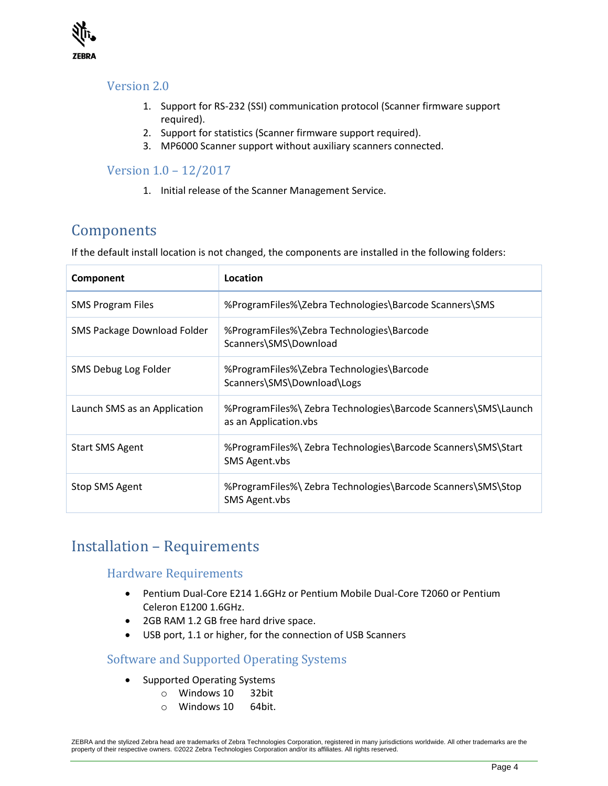

#### Version 2.0

- 1. Support for RS-232 (SSI) communication protocol (Scanner firmware support required).
- 2. Support for statistics (Scanner firmware support required).
- 3. MP6000 Scanner support without auxiliary scanners connected.

#### Version 1.0 – 12/2017

1. Initial release of the Scanner Management Service.

## <span id="page-3-0"></span>Components

If the default install location is not changed, the components are installed in the following folders:

| Component                    | Location                                                                                |
|------------------------------|-----------------------------------------------------------------------------------------|
| <b>SMS Program Files</b>     | %ProgramFiles%\Zebra Technologies\Barcode Scanners\SMS                                  |
| SMS Package Download Folder  | %ProgramFiles%\Zebra Technologies\Barcode<br>Scanners\SMS\Download                      |
| SMS Debug Log Folder         | %ProgramFiles%\Zebra Technologies\Barcode<br>Scanners\SMS\Download\Logs                 |
| Launch SMS as an Application | %ProgramFiles%\ Zebra Technologies\Barcode Scanners\SMS\Launch<br>as an Application.vbs |
| <b>Start SMS Agent</b>       | %ProgramFiles%\ Zebra Technologies\Barcode Scanners\SMS\Start<br>SMS Agent.vbs          |
| Stop SMS Agent               | %ProgramFiles%\ Zebra Technologies\Barcode Scanners\SMS\Stop<br>SMS Agent.vbs           |

### <span id="page-3-1"></span>Installation – Requirements

#### Hardware Requirements

- Pentium Dual-Core E214 1.6GHz or Pentium Mobile Dual-Core T2060 or Pentium Celeron E1200 1.6GHz.
- 2GB RAM 1.2 GB free hard drive space.
- USB port, 1.1 or higher, for the connection of USB Scanners

#### Software and Supported Operating Systems

- Supported Operating Systems
	- o Windows 10 32bit
	- o Windows 10 64bit.

ZEBRA and the stylized Zebra head are trademarks of Zebra Technologies Corporation, registered in many jurisdictions worldwide. All other trademarks are the property of their respective owners. ©2022 Zebra Technologies Corporation and/or its affiliates. All rights reserved.